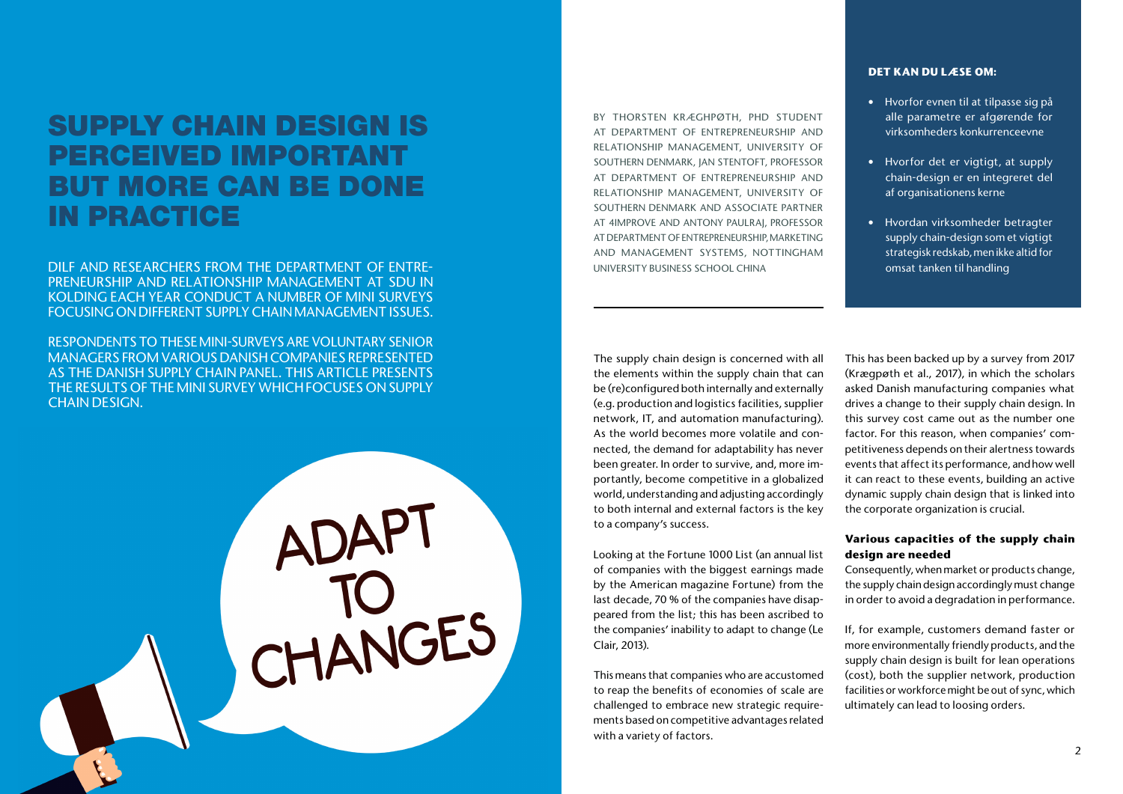# SUPPLY CHAIN DESIGN IS PERCEIVED IMPORTANT BUT MORE CAN BE DONE IN PRACTICE

DILF AND RESEARCHERS FROM THE DEPARTMENT OF ENTRE-PRENEURSHIP AND RELATIONSHIP MANAGEMENT AT SDU IN KOLDING EACH YEAR CONDUCT A NUMBER OF MINI SURVEYS FOCUSING ON DIFFERENT SUPPLY CHAIN MANAGEMENT ISSUES.

RESPONDENTS TO THESE MINI-SURVEYS ARE VOLUNTARY SENIOR MANAGERS FROM VARIOUS DANISH COMPANIES REPRESENTED AS THE DANISH SUPPLY CHAIN PANEL. THIS ARTICLE PRESENTS THE RESULTS OF THE MINI SURVEY WHICH FOCUSES ON SUPPLY CHAIN DESIGN.

ADAPT<br>TO<br>CHANGES

# **DET KAN DU LÆSE OM:**

- Hvorfor evnen til at tilpasse sig på alle parametre er afgørende for virksomheders konkurrenceevne
- Hvorfor det er vigtigt, at supply chain-design er en integreret del af organisationens kerne
- Hvordan virksomheder betragter supply chain-design som et vigtigt strategisk redskab, men ikke altid for omsat tanken til handling

BY THORSTEN KRÆGHPØTH, PHD STUDENT AT DEPARTMENT OF ENTREPRENEURSHIP AND RELATIONSHIP MANAGEMENT, UNIVERSITY OF SOUTHERN DENMARK, JAN STENTOFT, PROFESSOR AT DEPARTMENT OF ENTREPRENEURSHIP AND RELATIONSHIP MANAGEMENT, UNIVERSITY OF SOUTHERN DENMARK AND ASSOCIATE PARTNER AT 4IMPROVE AND ANTONY PAULRAJ, PROFESSOR AT DEPARTMENT OF ENTREPRENEURSHIP, MARKETING AND MANAGEMENT SYSTEMS, NOTTINGHAM UNIVERSITY BUSINESS SCHOOL CHINA

The supply chain design is concerned with all the elements within the supply chain that can be (re)configured both internally and externally (e.g. production and logistics facilities, supplier network, IT, and automation manufacturing). As the world becomes more volatile and connected, the demand for adaptability has never been greater. In order to survive, and, more importantly, become competitive in a globalized world, understanding and adjusting accordingly to both internal and external factors is the key to a company's success.

Looking at the Fortune 1000 List (an annual list of companies with the biggest earnings made by the American magazine Fortune) from the last decade, 70 % of the companies have disappeared from the list; this has been ascribed to the companies' inability to adapt to change (Le Clair, 2013).

This means that companies who are accustomed to reap the benefits of economies of scale are challenged to embrace new strategic requirements based on competitive advantages related with a variety of factors.

This has been backed up by a survey from 2017 (Krægpøth et al., 2017), in which the scholars asked Danish manufacturing companies what drives a change to their supply chain design. In this survey cost came out as the number one factor. For this reason, when companies' competitiveness depends on their alertness towards events that affect its performance, and how well it can react to these events, building an active dynamic supply chain design that is linked into the corporate organization is crucial.

# **Various capacities of the supply chain design are needed**

Consequently, when market or products change, the supply chain design accordingly must change in order to avoid a degradation in performance.

If, for example, customers demand faster or more environmentally friendly products, and the supply chain design is built for lean operations (cost), both the supplier network, production facilities or workforce might be out of sync, which ultimately can lead to loosing orders.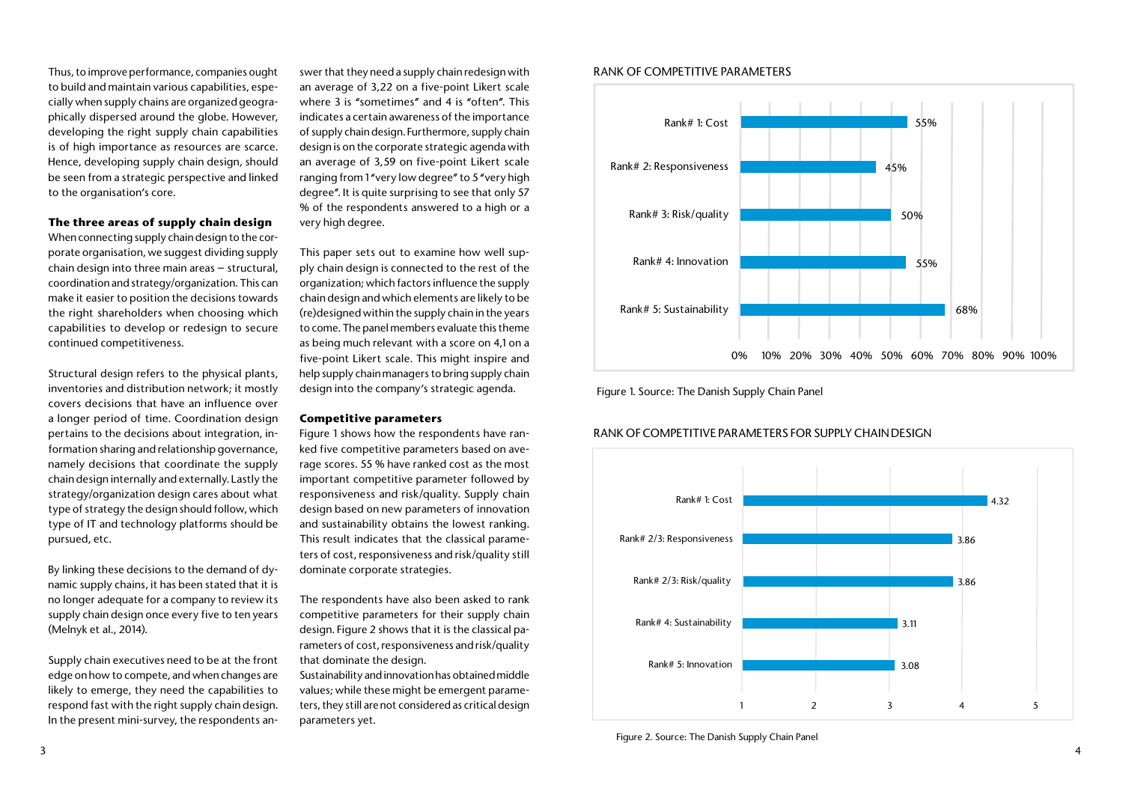#### RANK OF COMPETITIVE PARAMETERS

### RANK OF COMPETITIVE PARAMETERS FOR SUPPLY CHAIN DESIGN

Thus, to improve performance, companies ought to build and maintain various capabilities, especially when supply chains are organized geographically dispersed around the globe. However, developing the right supply chain capabilities is of high importance as resources are scarce. Hence, developing supply chain design, should be seen from a strategic perspective and linked to the organisation's core.

#### **The three areas of supply chain design**

When connecting supply chain design to the corporate organisation, we suggest dividing supply chain design into three main areas – structural, coordination and strategy/organization. This can make it easier to position the decisions towards the right shareholders when choosing which capabilities to develop or redesign to secure continued competitiveness.

swer that they need a supply chain redesign with an average of 3,22 on a five-point Likert scale where 3 is "sometimes" and 4 is "often". This indicates a certain awareness of the importance of supply chain design. Furthermore, supply chain design is on the corporate strategic agenda with an average of 3,59 on five-point Likert scale ranging from 1 "very low degree" to 5 "very high degree". It is quite surprising to see that only 57 % of the respondents answered to a high or a very high degree.

Structural design refers to the physical plants, inventories and distribution network; it mostly covers decisions that have an influence over a longer period of time. Coordination design pertains to the decisions about integration, information sharing and relationship governance, namely decisions that coordinate the supply chain design internally and externally. Lastly the strategy/organization design cares about what type of strategy the design should follow, which type of IT and technology platforms should be pursued, etc.

By linking these decisions to the demand of dynamic supply chains, it has been stated that it is no longer adequate for a company to review its supply chain design once every five to ten years (Melnyk et al., 2014).

Supply chain executives need to be at the front edge on how to compete, and when changes are likely to emerge, they need the capabilities to respond fast with the right supply chain design. In the present mini-survey, the respondents anThis paper sets out to examine how well supply chain design is connected to the rest of the organization; which factors influence the supply chain design and which elements are likely to be (re)designed within the supply chain in the years to come. The panel members evaluate this theme as being much relevant with a score on 4,1 on a five-point Likert scale. This might inspire and help supply chain managers to bring supply chain design into the company's strategic agenda.

#### **Competitive parameters**

Figure 1 shows how the respondents have ranked five competitive parameters based on average scores. 55 % have ranked cost as the most important competitive parameter followed by responsiveness and risk/quality. Supply chain design based on new parameters of innovation and sustainability obtains the lowest ranking. This result indicates that the classical parameters of cost, responsiveness and risk/quality still dominate corporate strategies.

The respondents have also been asked to rank competitive parameters for their supply chain design. Figure 2 shows that it is the classical parameters of cost, responsiveness and risk/quality that dominate the design.

Sustainability and innovation has obtained middle values; while these might be emergent parameters, they still are not considered as critical design parameters yet.







Figure 2. Source: The Danish Supply Chain Panel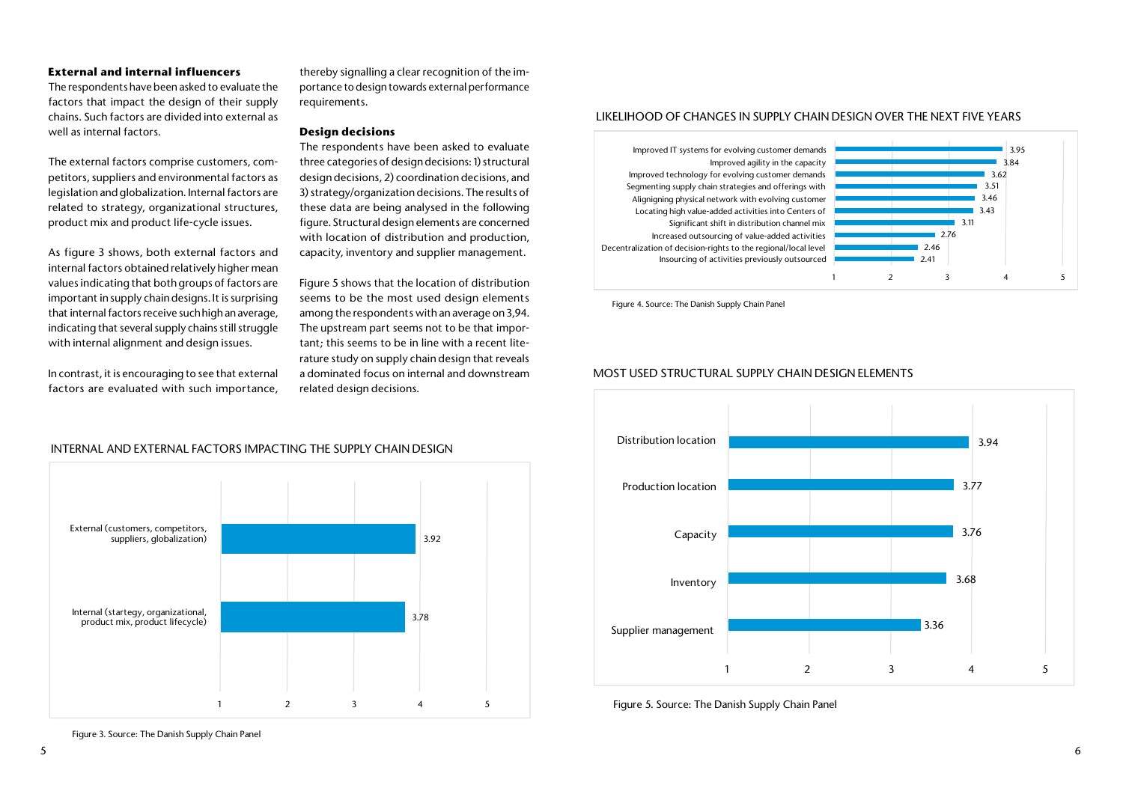#### **External and internal influencers**

The respondents have been asked to evaluate the factors that impact the design of their supply chains. Such factors are divided into external as well as internal factors.

The external factors comprise customers, competitors, suppliers and environmental factors as legislation and globalization. Internal factors are related to strategy, organizational structures, product mix and product life-cycle issues.

As figure 3 shows, both external factors and internal factors obtained relatively higher mean values indicating that both groups of factors are important in supply chain designs. It is surprising that internal factors receive such high an average, indicating that several supply chains still struggle with internal alignment and design issues.

In contrast, it is encouraging to see that external factors are evaluated with such importance,

thereby signalling a clear recognition of the importance to design towards external performance requirements.

#### **Design decisions**

The respondents have been asked to evaluate three categories of design decisions: 1) structural design decisions, 2) coordination decisions, and 3) strategy/organization decisions. The results of these data are being analysed in the following figure. Structural design elements are concerned with location of distribution and production, capacity, inventory and supplier management.

Figure 5 shows that the location of distribution seems to be the most used design elements among the respondents with an average on 3,94. The upstream part seems not to be that important; this seems to be in line with a recent literature study on supply chain design that reveals a dominated focus on internal and downstream related design decisions.

5 6

Figure 3. Source: The Danish Supply Chain Panel







Figure 4. Source: The Danish Supply Chain Panel



#### LIKELIHOOD OF CHANGES IN SUPPLY CHAIN DESIGN OVER THE NEXT FIVE YEARS

#### MOST USED STRUCTURAL SUPPLY CHAIN DESIGN ELEMENTS



Figure 5. Source: The Danish Supply Chain Panel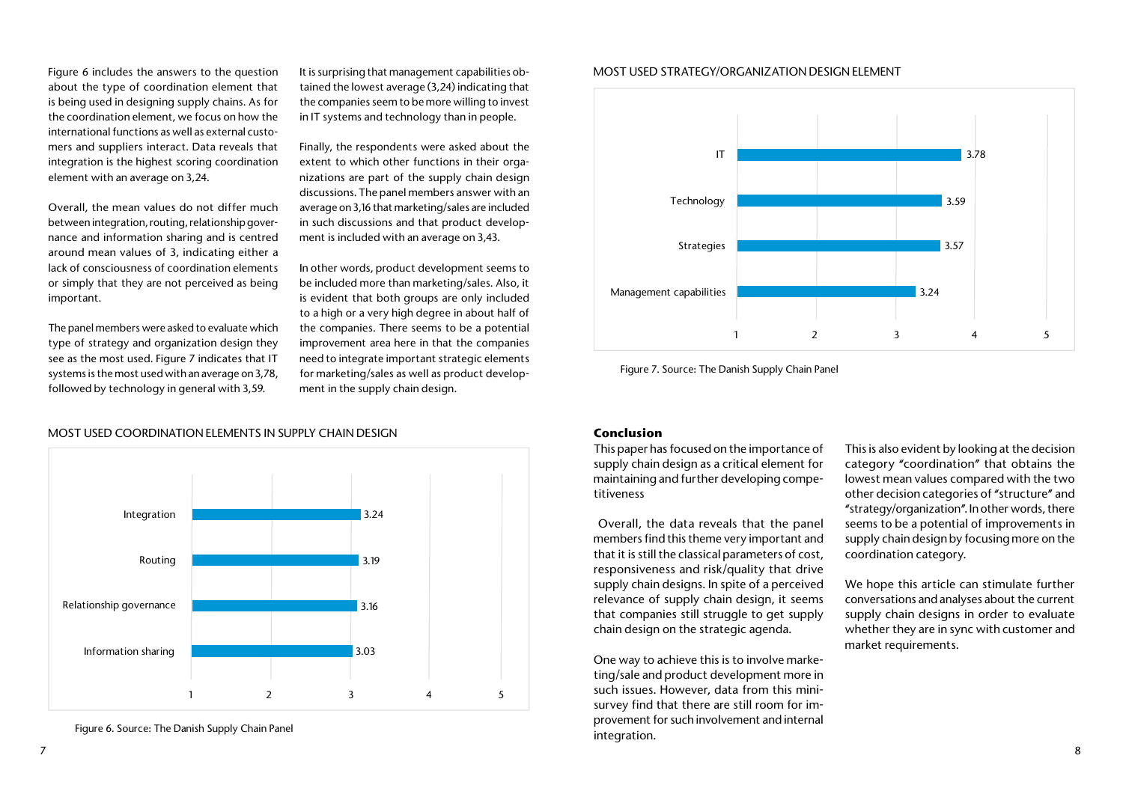Figure 6 includes the answers to the question about the type of coordination element that is being used in designing supply chains. As for the coordination element, we focus on how the international functions as well as external customers and suppliers interact. Data reveals that integration is the highest scoring coordination element with an average on 3,24.

Overall, the mean values do not differ much between integration, routing, relationship governance and information sharing and is centred around mean values of 3, indicating either a lack of consciousness of coordination elements or simply that they are not perceived as being important.

The panel members were asked to evaluate which type of strategy and organization design they see as the most used. Figure 7 indicates that IT systems is the most used with an average on 3,78, followed by technology in general with 3,59.

It is surprising that management capabilities obtained the lowest average (3,24) indicating that the companies seem to be more willing to invest in IT systems and technology than in people.

Finally, the respondents were asked about the extent to which other functions in their organizations are part of the supply chain design discussions. The panel members answer with an average on 3,16 that marketing/sales are included in such discussions and that product development is included with an average on 3,43.

In other words, product development seems to be included more than marketing/sales. Also, it is evident that both groups are only included to a high or a very high degree in about half of the companies. There seems to be a potential improvement area here in that the companies need to integrate important strategic elements for marketing/sales as well as product development in the supply chain design.

#### **Conclusion**

This paper has focused on the importance of supply chain design as a critical element for maintaining and further developing competitiveness

 Overall, the data reveals that the panel members find this theme very important and that it is still the classical parameters of cost, responsiveness and risk/quality that drive supply chain designs. In spite of a perceived relevance of supply chain design, it seems that companies still struggle to get supply chain design on the strategic agenda.

One way to achieve this is to involve marketing/sale and product development more in such issues. However, data from this minisurvey find that there are still room for improvement for such involvement and internal integration.

This is also evident by looking at the decision category "coordination" that obtains the lowest mean values compared with the two other decision categories of "structure" and "strategy/organization". In other words, there seems to be a potential of improvements in supply chain design by focusing more on the coordination category.

We hope this article can stimulate further conversations and analyses about the current supply chain designs in order to evaluate whether they are in sync with customer and market requirements.



Figure 6. Source: The Danish Supply Chain Panel

#### MOST USED COORDINATION ELEMENTS IN SUPPLY CHAIN DESIGN

# MOST USED STRATEGY/ORGANIZATION DESIGN ELEMENT



Figure 7. Source: The Danish Supply Chain Panel